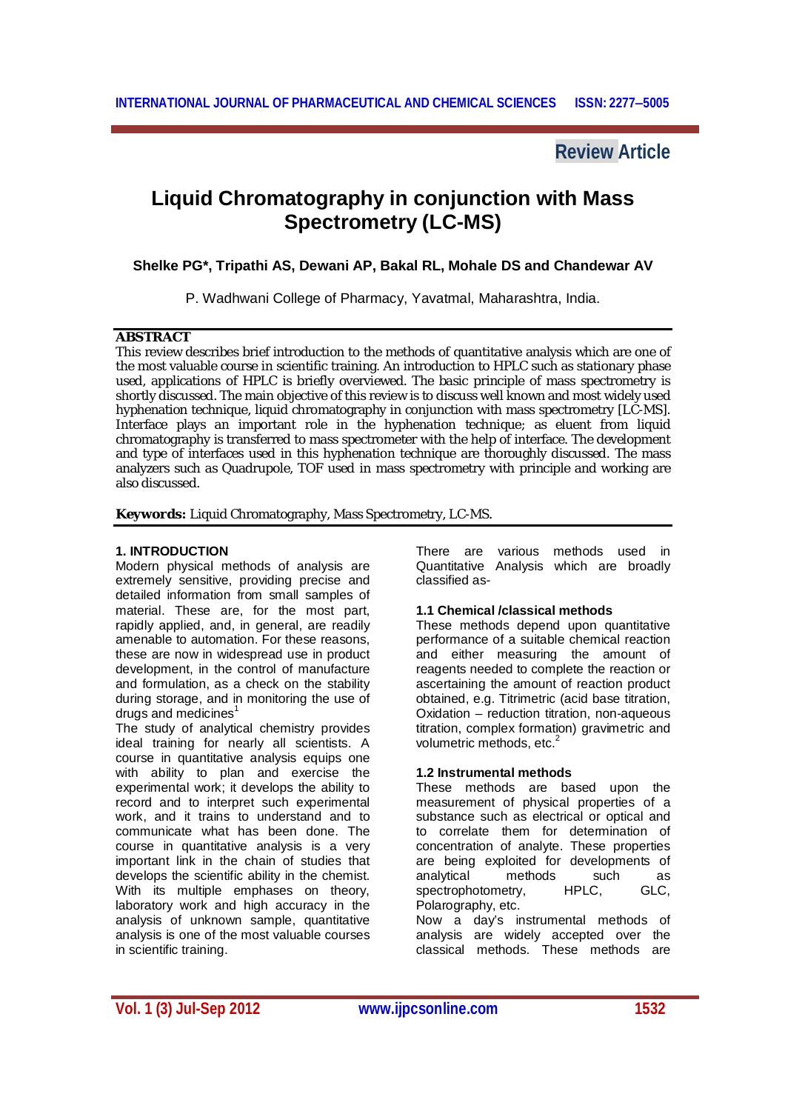# **Review Article**

# **Liquid Chromatography in conjunction with Mass Spectrometry (LC-MS)**

**Shelke PG\*, Tripathi AS, Dewani AP, Bakal RL, Mohale DS and Chandewar AV**

P. Wadhwani College of Pharmacy, Yavatmal, Maharashtra, India.

# **ABSTRACT**

This review describes brief introduction to the methods of quantitative analysis which are one of the most valuable course in scientific training. An introduction to HPLC such as stationary phase used, applications of HPLC is briefly overviewed. The basic principle of mass spectrometry is shortly discussed. The main objective of this review is to discuss well known and most widely used hyphenation technique, liquid chromatography in conjunction with mass spectrometry [LC-MS]. Interface plays an important role in the hyphenation technique; as eluent from liquid chromatography is transferred to mass spectrometer with the help of interface. The development and type of interfaces used in this hyphenation technique are thoroughly discussed. The mass analyzers such as Quadrupole, TOF used in mass spectrometry with principle and working are also discussed.

**Keywords:** Liquid Chromatography, Mass Spectrometry, LC-MS.

# **1. INTRODUCTION**

Modern physical methods of analysis are extremely sensitive, providing precise and detailed information from small samples of material. These are, for the most part, rapidly applied, and, in general, are readily amenable to automation. For these reasons, these are now in widespread use in product development, in the control of manufacture and formulation, as a check on the stability during storage, and in monitoring the use of drugs and medicines<sup>1</sup>

The study of analytical chemistry provides ideal training for nearly all scientists. A course in quantitative analysis equips one with ability to plan and exercise the experimental work; it develops the ability to record and to interpret such experimental work, and it trains to understand and to communicate what has been done. The course in quantitative analysis is a very important link in the chain of studies that develops the scientific ability in the chemist. With its multiple emphases on theory, laboratory work and high accuracy in the analysis of unknown sample, quantitative analysis is one of the most valuable courses in scientific training.

There are various methods used in Quantitative Analysis which are broadly classified as-

# **1.1 Chemical /classical methods**

These methods depend upon quantitative performance of a suitable chemical reaction and either measuring the amount of reagents needed to complete the reaction or ascertaining the amount of reaction product obtained, e.g. Titrimetric (acid base titration, Oxidation – reduction titration, non-aqueous titration, complex formation) gravimetric and volumetric methods, etc.<sup>2</sup>

# **1.2 Instrumental methods**

These methods are based upon the measurement of physical properties of a substance such as electrical or optical and to correlate them for determination of concentration of analyte. These properties are being exploited for developments of analytical methods such as<br>spectrophotometry. HPLC. GLC. spectrophotometry, HPLC, GLC, Polarography, etc.

Now a day's instrumental methods of analysis are widely accepted over the classical methods. These methods are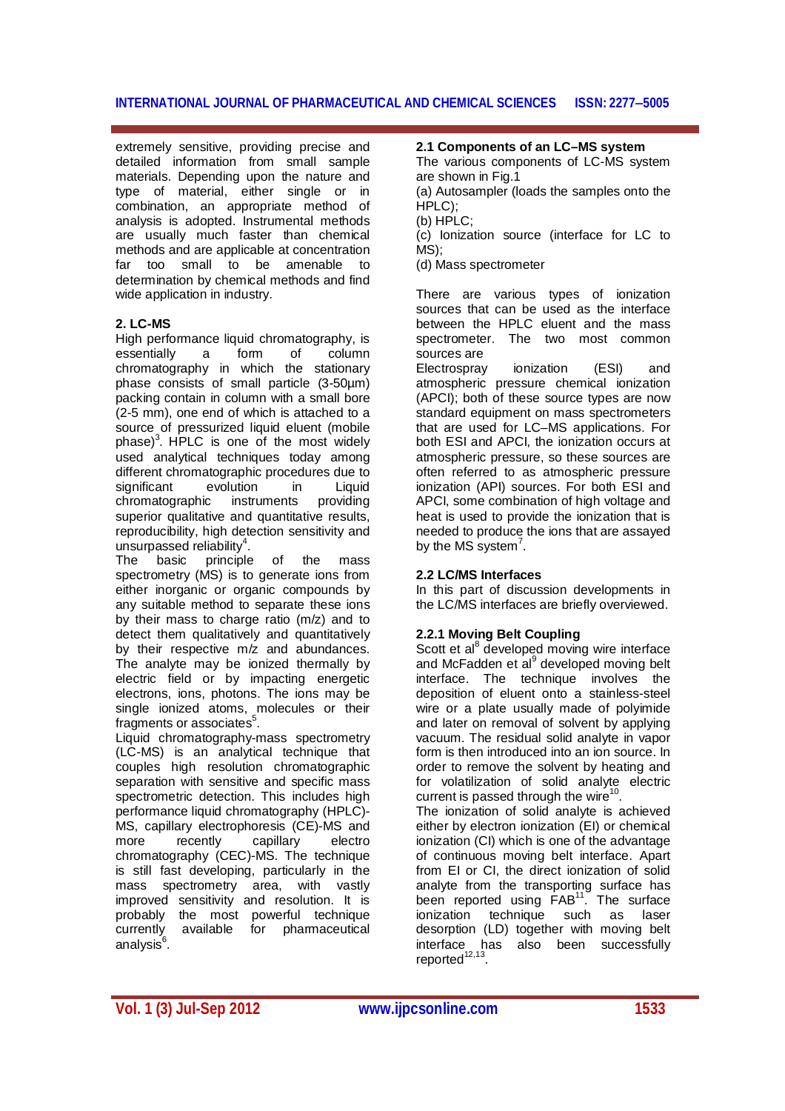extremely sensitive, providing precise and detailed information from small sample materials. Depending upon the nature and type of material, either single or in combination, an appropriate method of analysis is adopted. Instrumental methods are usually much faster than chemical methods and are applicable at concentration far too small to be amenable to determination by chemical methods and find wide application in industry.

#### **2. LC-MS**

High performance liquid chromatography, is<br>essentially a form of column essentially a form of column chromatography in which the stationary phase consists of small particle (3-50µm) packing contain in column with a small bore (2-5 mm), one end of which is attached to a source of pressurized liquid eluent (mobile phase) $3$ . HPLC is one of the most widely used analytical techniques today among different chromatographic procedures due to<br>significant evolution in Liquid significant evolution in Liquid<br>chromatographic instruments providing chromatographic superior qualitative and quantitative results. reproducibility, high detection sensitivity and unsurpassed reliability<sup>4</sup>.

The basic principle of the mass spectrometry (MS) is to generate ions from either inorganic or organic compounds by any suitable method to separate these ions by their mass to charge ratio (m/z) and to detect them qualitatively and quantitatively by their respective m/z and abundances. The analyte may be ionized thermally by electric field or by impacting energetic electrons, ions, photons. The ions may be single ionized atoms, molecules or their fragments or associates $5$ .

Liquid chromatography-mass spectrometry (LC-MS) is an analytical technique that couples high resolution chromatographic separation with sensitive and specific mass spectrometric detection. This includes high performance liquid chromatography (HPLC)- MS, capillary electrophoresis (CE)-MS and more recently capillary electro chromatography (CEC)-MS. The technique is still fast developing, particularly in the mass spectrometry area, with vastly improved sensitivity and resolution. It is probably the most powerful technique currently available for pharmaceutical analysis<sup>6</sup>.

#### **2.1 Components of an LC–MS system**

The various components of LC-MS system are shown in Fig.1

(a) Autosampler (loads the samples onto the HPLC);

(b) HPLC;

(c) Ionization source (interface for LC to MS);

(d) Mass spectrometer

There are various types of ionization sources that can be used as the interface between the HPLC eluent and the mass spectrometer. The two most common sources are

Electrospray ionization (ESI) and atmospheric pressure chemical ionization (APCI); both of these source types are now standard equipment on mass spectrometers that are used for LC–MS applications. For both ESI and APCI, the ionization occurs at atmospheric pressure, so these sources are often referred to as atmospheric pressure ionization (API) sources. For both ESI and APCI, some combination of high voltage and heat is used to provide the ionization that is needed to produce the ions that are assayed by the MS system<sup>7</sup>.

# **2.2 LC/MS Interfaces**

In this part of discussion developments in the LC/MS interfaces are briefly overviewed.

# **2.2.1 Moving Belt Coupling**

Scott et al<sup>8</sup> developed moving wire interface and McFadden et al<sup>9</sup> developed moving belt interface. The technique involves the deposition of eluent onto a stainless-steel wire or a plate usually made of polyimide and later on removal of solvent by applying vacuum. The residual solid analyte in vapor form is then introduced into an ion source. In order to remove the solvent by heating and for volatilization of solid analyte electric current is passed through the wire<sup>1</sup> .

The ionization of solid analyte is achieved either by electron ionization (EI) or chemical ionization (CI) which is one of the advantage of continuous moving belt interface. Apart from EI or CI, the direct ionization of solid analyte from the transporting surface has been reported using FAB<sup>11</sup>. The surface ionization technique such as laser desorption (LD) together with moving belt interface has also been successfully reported<sup>12,13</sup>.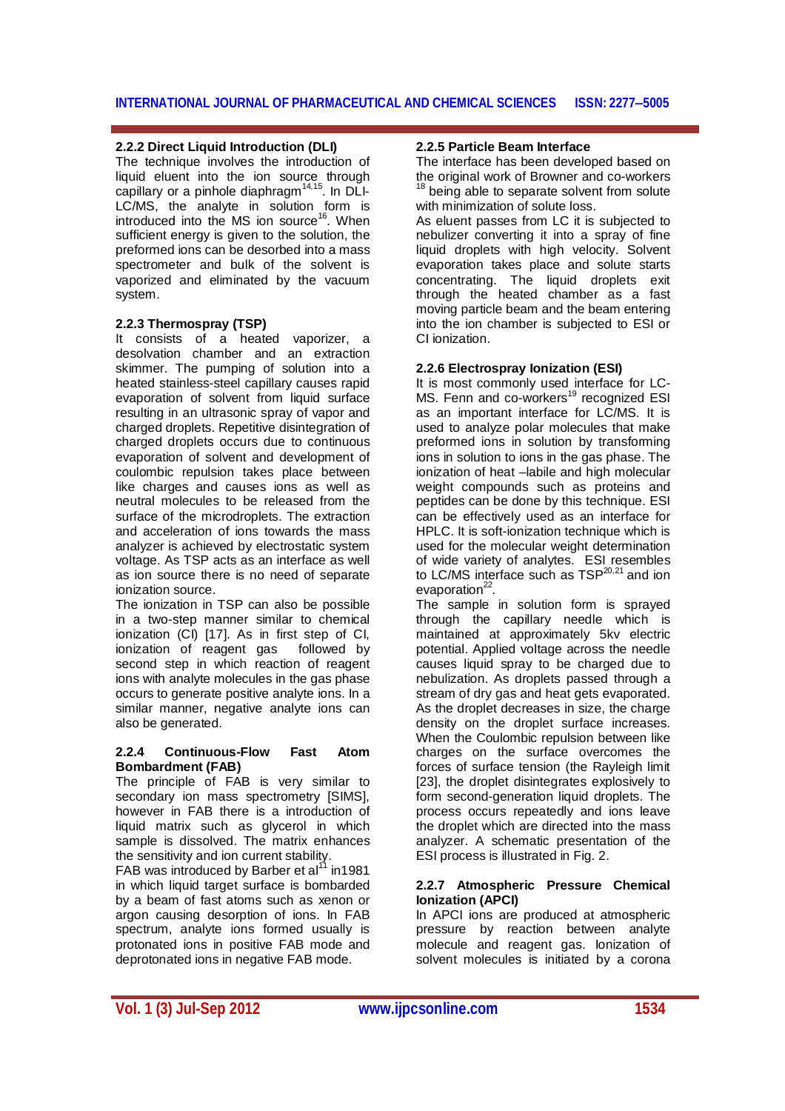# **2.2.2 Direct Liquid Introduction (DLI)**

The technique involves the introduction of liquid eluent into the ion source through capillary or a pinhole diaphragm<sup>14,15</sup>. In DLI-LC/MS, the analyte in solution form is introduced into the MS ion source<sup>16</sup>. When sufficient energy is given to the solution, the preformed ions can be desorbed into a mass spectrometer and bulk of the solvent is vaporized and eliminated by the vacuum system.

# **2.2.3 Thermospray (TSP)**

It consists of a heated vaporizer, a desolvation chamber and an extraction skimmer. The pumping of solution into a heated stainless-steel capillary causes rapid evaporation of solvent from liquid surface resulting in an ultrasonic spray of vapor and charged droplets. Repetitive disintegration of charged droplets occurs due to continuous evaporation of solvent and development of coulombic repulsion takes place between like charges and causes ions as well as neutral molecules to be released from the surface of the microdroplets. The extraction and acceleration of ions towards the mass analyzer is achieved by electrostatic system voltage. As TSP acts as an interface as well as ion source there is no need of separate ionization source.

The ionization in TSP can also be possible in a two-step manner similar to chemical ionization (CI) [17]. As in first step of CI, ionization of reagent gas followed by second step in which reaction of reagent ions with analyte molecules in the gas phase occurs to generate positive analyte ions. In a similar manner, negative analyte ions can also be generated.

#### **2.2.4 Continuous-Flow Fast Atom Bombardment (FAB)**

The principle of FAB is very similar to secondary ion mass spectrometry [SIMS], however in FAB there is a introduction of liquid matrix such as glycerol in which sample is dissolved. The matrix enhances the sensitivity and ion current stability.

FAB was introduced by Barber et  $al<sup>11</sup>$  in1981 in which liquid target surface is bombarded by a beam of fast atoms such as xenon or argon causing desorption of ions. In FAB spectrum, analyte ions formed usually is protonated ions in positive FAB mode and deprotonated ions in negative FAB mode.

#### **2.2.5 Particle Beam Interface**

The interface has been developed based on the original work of Browner and co-workers <sup>18</sup> being able to separate solvent from solute with minimization of solute loss.

As eluent passes from LC it is subjected to nebulizer converting it into a spray of fine liquid droplets with high velocity. Solvent evaporation takes place and solute starts concentrating. The liquid droplets exit through the heated chamber as a fast moving particle beam and the beam entering into the ion chamber is subjected to ESI or CI ionization.

# **2.2.6 Electrospray Ionization (ESI)**

It is most commonly used interface for LC-MS. Fenn and co-workers<sup>19</sup> recognized ESI as an important interface for LC/MS. It is used to analyze polar molecules that make preformed ions in solution by transforming ions in solution to ions in the gas phase. The ionization of heat –labile and high molecular weight compounds such as proteins and peptides can be done by this technique. ESI can be effectively used as an interface for HPLC. It is soft-ionization technique which is used for the molecular weight determination of wide variety of analytes. ESI resembles to LC/MS interface such as TSP<sup>20,21</sup> and ion evaporation<sup>22</sup>.

The sample in solution form is sprayed through the capillary needle which is maintained at approximately 5kv electric potential. Applied voltage across the needle causes liquid spray to be charged due to nebulization. As droplets passed through a stream of dry gas and heat gets evaporated. As the droplet decreases in size, the charge density on the droplet surface increases. When the Coulombic repulsion between like charges on the surface overcomes the forces of surface tension (the Rayleigh limit [23], the droplet disintegrates explosively to form second-generation liquid droplets. The process occurs repeatedly and ions leave the droplet which are directed into the mass analyzer. A schematic presentation of the ESI process is illustrated in Fig. 2.

#### **2.2.7 Atmospheric Pressure Chemical Ionization (APCI)**

In APCI ions are produced at atmospheric pressure by reaction between analyte molecule and reagent gas. Ionization of solvent molecules is initiated by a corona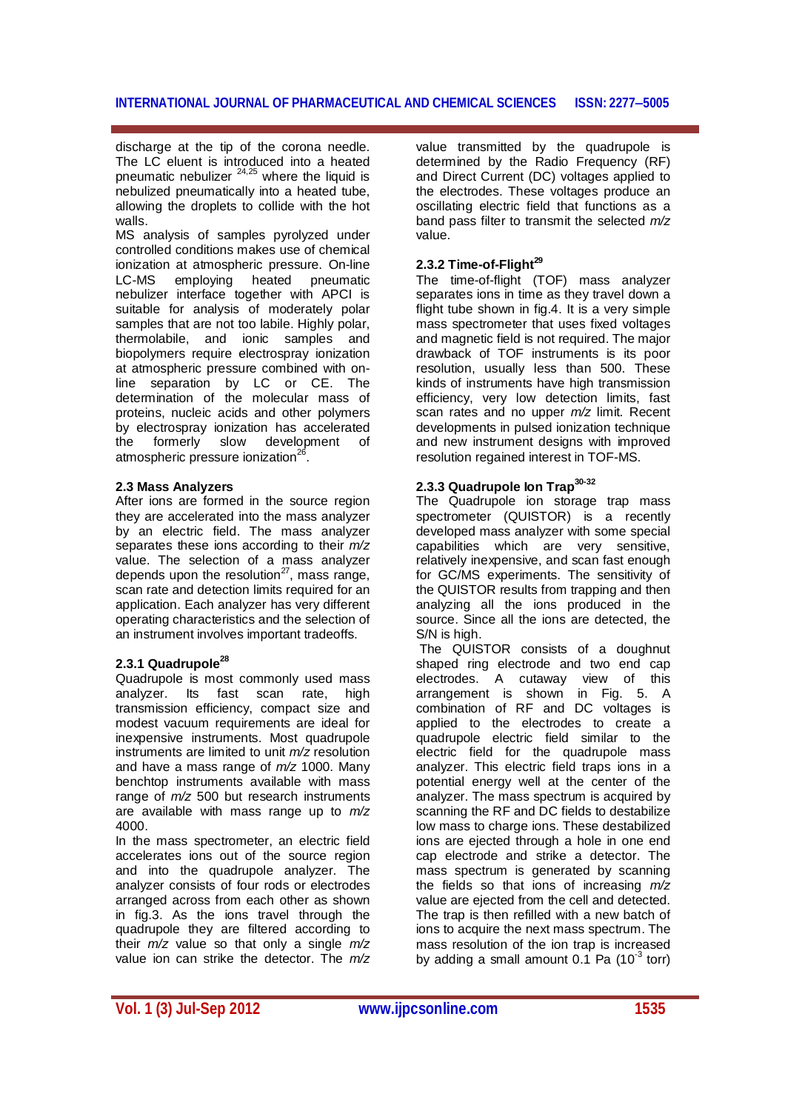discharge at the tip of the corona needle. The LC eluent is introduced into a heated pneumatic nebulizer  $24,25$  where the liquid is nebulized pneumatically into a heated tube, allowing the droplets to collide with the hot walls.

MS analysis of samples pyrolyzed under controlled conditions makes use of chemical ionization at atmospheric pressure. On-line LC-MS employing heated pneumatic nebulizer interface together with APCI is suitable for analysis of moderately polar samples that are not too labile. Highly polar, thermolabile, and ionic samples and biopolymers require electrospray ionization at atmospheric pressure combined with online separation by LC or CE. The determination of the molecular mass of proteins, nucleic acids and other polymers by electrospray ionization has accelerated the formerly slow development of atmospheric pressure ionization<sup>26</sup>.

#### **2.3 Mass Analyzers**

After ions are formed in the source region they are accelerated into the mass analyzer by an electric field. The mass analyzer separates these ions according to their *m/z*  value. The selection of a mass analyzer depends upon the resolution $27$ , mass range, scan rate and detection limits required for an application. Each analyzer has very different operating characteristics and the selection of an instrument involves important tradeoffs.

# **2.3.1 Quadrupole 28**

Quadrupole is most commonly used mass analyzer. Its fast scan rate, high transmission efficiency, compact size and modest vacuum requirements are ideal for inexpensive instruments. Most quadrupole instruments are limited to unit *m/z* resolution and have a mass range of *m/z* 1000. Many benchtop instruments available with mass range of *m/z* 500 but research instruments are available with mass range up to *m/z*  4000.

In the mass spectrometer, an electric field accelerates ions out of the source region and into the quadrupole analyzer. The analyzer consists of four rods or electrodes arranged across from each other as shown in fig.3. As the ions travel through the quadrupole they are filtered according to their *m/z* value so that only a single *m/z*  value ion can strike the detector. The *m/z* 

value transmitted by the quadrupole is determined by the Radio Frequency (RF) and Direct Current (DC) voltages applied to the electrodes. These voltages produce an oscillating electric field that functions as a band pass filter to transmit the selected *m/z*  value.

# **2.3.2 Time-of-Flight<sup>29</sup>**

The time-of-flight (TOF) mass analyzer separates ions in time as they travel down a flight tube shown in fig.4. It is a very simple mass spectrometer that uses fixed voltages and magnetic field is not required. The major drawback of TOF instruments is its poor resolution, usually less than 500. These kinds of instruments have high transmission efficiency, very low detection limits, fast scan rates and no upper *m/z* limit. Recent developments in pulsed ionization technique and new instrument designs with improved resolution regained interest in TOF-MS.

# **2.3.3 Quadrupole Ion Trap30-32**

The Quadrupole ion storage trap mass spectrometer (QUISTOR) is a recently developed mass analyzer with some special capabilities which are very sensitive, relatively inexpensive, and scan fast enough for GC/MS experiments. The sensitivity of the QUISTOR results from trapping and then analyzing all the ions produced in the source. Since all the ions are detected, the S/N is high.

The QUISTOR consists of a doughnut shaped ring electrode and two end cap electrodes. A cutaway view of this arrangement is shown in Fig. 5. A combination of RF and DC voltages is applied to the electrodes to create a quadrupole electric field similar to the electric field for the quadrupole mass analyzer. This electric field traps ions in a potential energy well at the center of the analyzer. The mass spectrum is acquired by scanning the RF and DC fields to destabilize low mass to charge ions. These destabilized ions are ejected through a hole in one end cap electrode and strike a detector. The mass spectrum is generated by scanning the fields so that ions of increasing *m/z*  value are ejected from the cell and detected. The trap is then refilled with a new batch of ions to acquire the next mass spectrum. The mass resolution of the ion trap is increased by adding a small amount 0.1 Pa (10<sup>-3</sup> torr)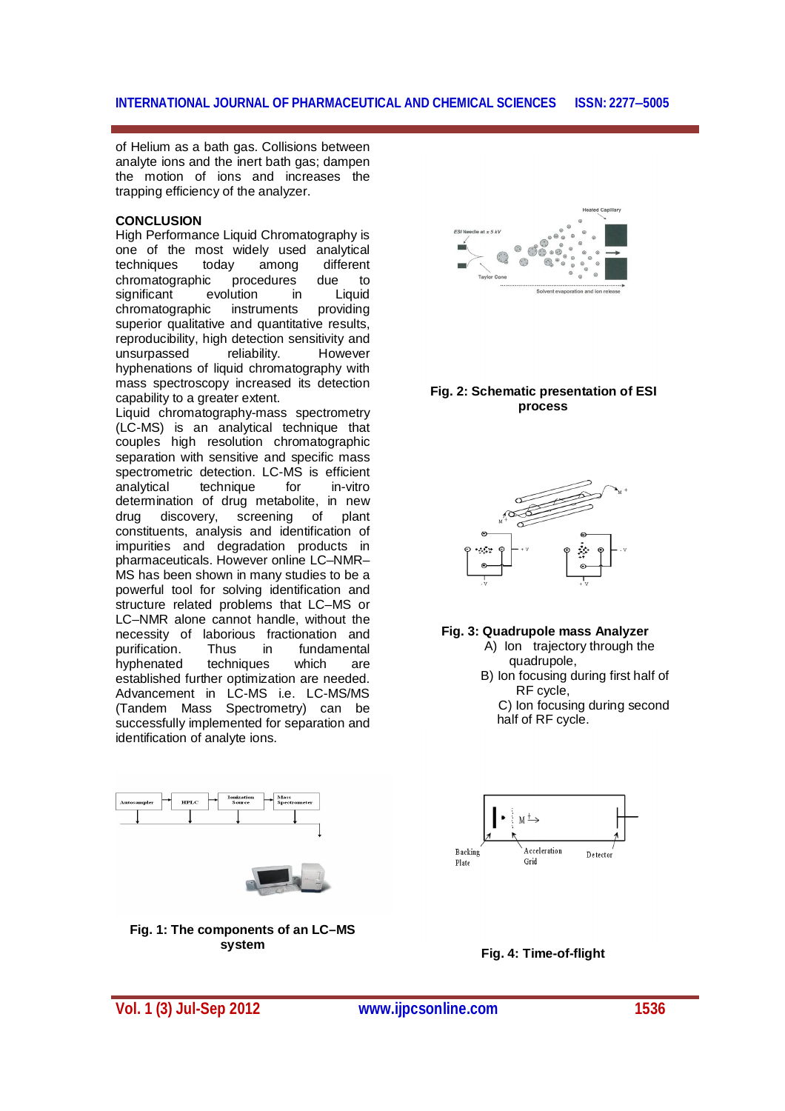of Helium as a bath gas. Collisions between analyte ions and the inert bath gas; dampen the motion of ions and increases the trapping efficiency of the analyzer.

#### **CONCLUSION**

High Performance Liquid Chromatography is one of the most widely used analytical techniques today among different chromatographic procedures due to significant evolution in Liquid chromatographic instruments providing superior qualitative and quantitative results, reproducibility, high detection sensitivity and unsurpassed reliability. However hyphenations of liquid chromatography with mass spectroscopy increased its detection capability to a greater extent.

Liquid chromatography-mass spectrometry (LC-MS) is an analytical technique that couples high resolution chromatographic separation with sensitive and specific mass spectrometric detection. LC-MS is efficient analytical technique for in-vitro determination of drug metabolite, in new drug discovery, screening of plant constituents, analysis and identification of impurities and degradation products in pharmaceuticals. However online LC–NMR– MS has been shown in many studies to be a powerful tool for solving identification and structure related problems that LC–MS or LC–NMR alone cannot handle, without the necessity of laborious fractionation and purification. Thus in fundamental hyphenated techniques which are established further optimization are needed. Advancement in LC-MS i.e. LC-MS/MS (Tandem Mass Spectrometry) can be successfully implemented for separation and identification of analyte ions.





**Fig. 1: The components of an LC–MS system**



#### **Fig. 2: Schematic presentation of ESI process**



#### **Fig. 3: Quadrupole mass Analyzer**

- A) Ion trajectory through the quadrupole,
- B) Ion focusing during first half of RF cycle,
	- C) Ion focusing during second half of RF cycle.



**Fig. 4: Time-of-flight**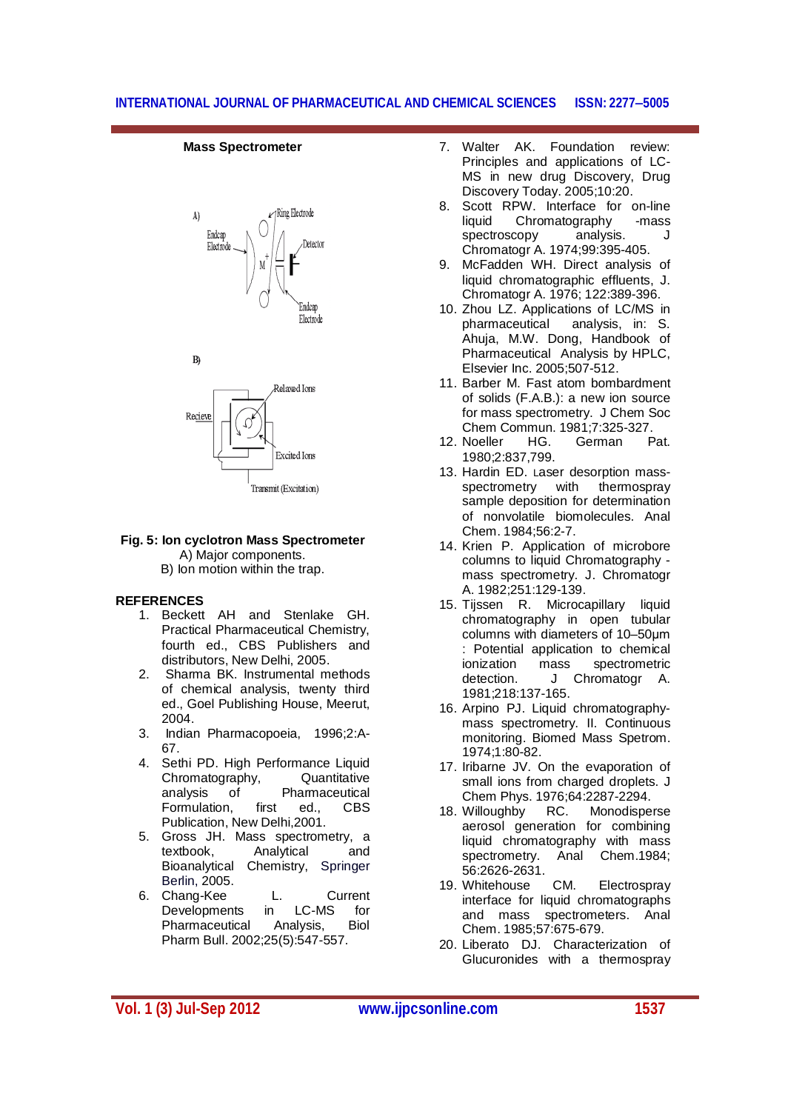#### **Mass Spectrometer**







#### **Fig. 5: Ion cyclotron Mass Spectrometer** A) Major components.

B) Ion motion within the trap.

#### **REFERENCES**

- 1. Beckett AH and Stenlake GH. Practical Pharmaceutical Chemistry, fourth ed., CBS Publishers and distributors, New Delhi, 2005.
- 2. Sharma BK. Instrumental methods of chemical analysis, twenty third ed., Goel Publishing House, Meerut, 2004.
- 3. Indian Pharmacopoeia, 1996;2:A-67.
- 4. Sethi PD. High Performance Liquid Chromatography, Quantitative analysis of Pharmaceutical Formulation, first ed., CBS Publication, New Delhi,2001.
- 5. Gross JH. Mass spectrometry, a textbook, Analytical and Bioanalytical Chemistry, Springer Berlin, 2005.
- 6. Chang-Kee L. Current<br>Developments in LC-MS for Developments in LC-MS for Pharmaceutical Analysis, Biol Pharm Bull. 2002;25(5):547-557.
- 7. Walter AK. Foundation review: Principles and applications of LC-MS in new drug Discovery, Drug Discovery Today. 2005;10:20.
- 8. Scott RPW. Interface for on-line liquid Chromatography -mass<br>spectroscopy analysis. spectroscopy analysis. J Chromatogr A. 1974;99:395-405.
- 9. McFadden WH. Direct analysis of liquid chromatographic effluents, J. Chromatogr A. 1976; 122:389-396.
- 10. Zhou LZ. Applications of LC/MS in pharmaceutical analysis, in: S. Ahuja, M.W. Dong, Handbook of Pharmaceutical Analysis by HPLC, Elsevier Inc. 2005;507-512.
- 11. Barber M. Fast atom bombardment of solids (F.A.B.): a new ion source for mass spectrometry. J Chem Soc
- Chem Commun. 1981;7:325-327.<br>Noeller HG. German Pat. 12. Noeller 1980;2:837,799.
- 13. Hardin ED. Laser desorption massspectrometry with thermospray sample deposition for determination of nonvolatile biomolecules. Anal Chem. 1984;56:2-7.
- 14. Krien P. Application of microbore columns to liquid Chromatography mass spectrometry. J. Chromatogr A. 1982;251:129-139.
- 15. Tijssen R. Microcapillary liquid chromatography in open tubular columns with diameters of 10–50μm : Potential application to chemical ionization mass spectrometric detection. J Chromatogr A. 1981;218:137-165.
- 16. Arpino PJ. Liquid chromatographymass spectrometry. II. Continuous monitoring. Biomed Mass Spetrom. 1974;1:80-82.
- 17. Iribarne JV. On the evaporation of small ions from charged droplets. J Chem Phys. 1976;64:2287-2294.
- 18. Willoughby RC. Monodisperse aerosol generation for combining liquid chromatography with mass spectrometry. Anal Chem.1984; 56:2626-2631.
- 19. Whitehouse CM. Electrospray interface for liquid chromatographs and mass spectrometers. Anal Chem. 1985;57:675-679.
- 20. Liberato DJ. Characterization of Glucuronides with a thermospray